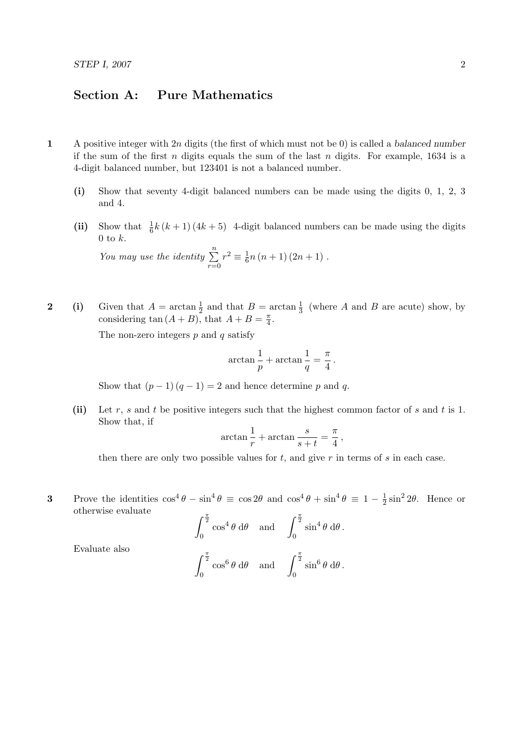## Section A: Pure Mathematics

- 1 A positive integer with  $2n$  digits (the first of which must not be 0) is called a balanced number if the sum of the first n digits equals the sum of the last n digits. For example,  $1634$  is a 4-digit balanced number, but 123401 is not a balanced number.
	- (i) Show that seventy 4-digit balanced numbers can be made using the digits 0, 1, 2, 3 and 4.
	- (ii) Show that  $\frac{1}{6}k(k+1)(4k+5)$  4-digit balanced numbers can be made using the digits  $0$  to  $k$ .

You may use the identity 
$$
\sum_{r=0}^{n} r^2 \equiv \frac{1}{6}n(n+1)(2n+1).
$$

2 (i) Given that  $A = \arctan \frac{1}{2}$  and that  $B = \arctan \frac{1}{3}$  (where A and B are acute) show, by considering tan  $(A + B)$ , that  $A + B = \frac{\pi}{4}$  $\frac{\pi}{4}$ .

The non-zero integers  $p$  and  $q$  satisfy

$$
\arctan\frac{1}{p} + \arctan\frac{1}{q} = \frac{\pi}{4}.
$$

Show that  $(p-1)(q-1) = 2$  and hence determine p and q.

0

(ii) Let r, s and t be positive integers such that the highest common factor of s and t is 1. Show that, if

$$
\arctan\frac{1}{r} + \arctan\frac{s}{s+t} = \frac{\pi}{4},
$$

then there are only two possible values for  $t$ , and give  $r$  in terms of  $s$  in each case.

3 Prove the identities  $\cos^4 \theta - \sin^4 \theta \equiv \cos 2\theta$  and  $\cos^4 \theta + \sin^4 \theta \equiv 1 - \frac{1}{2}$  $\frac{1}{2}\sin^2 2\theta$ . Hence or otherwise evaluate

$$
\int_0^{\frac{\pi}{2}} \cos^4 \theta \, d\theta \quad \text{and} \quad \int_0^{\frac{\pi}{2}} \sin^4 \theta \, d\theta.
$$
  

$$
\int_0^{\frac{\pi}{2}} \cos^6 \theta \, d\theta \quad \text{and} \quad \int_0^{\frac{\pi}{2}} \sin^6 \theta \, d\theta.
$$

0

Evaluate also

$$
f_{\rm{max}}
$$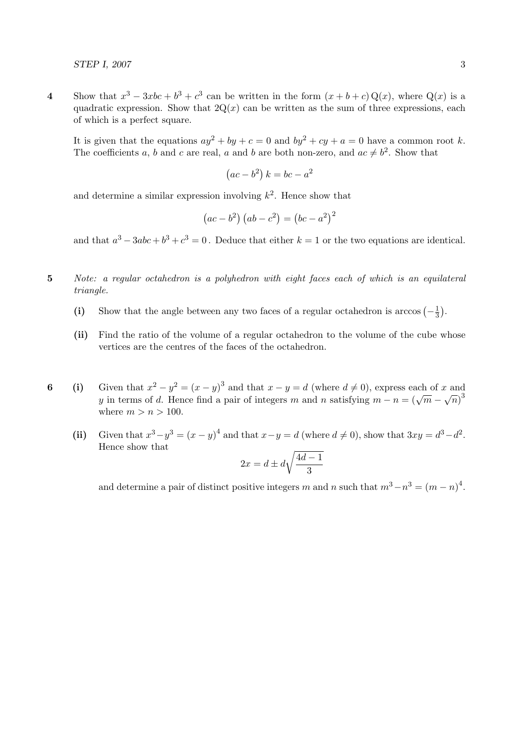4 Show that  $x^3 - 3xbc + b^3 + c^3$  can be written in the form  $(x + b + c)Q(x)$ , where  $Q(x)$  is a quadratic expression. Show that  $2Q(x)$  can be written as the sum of three expressions, each of which is a perfect square.

It is given that the equations  $ay^2 + by + c = 0$  and  $by^2 + cy + a = 0$  have a common root k. The coefficients a, b and c are real, a and b are both non-zero, and  $ac \neq b^2$ . Show that

$$
(ac - b2) k = bc - a2
$$

and determine a similar expression involving  $k^2$ . Hence show that

$$
(ac - b2) (ab - c2) = (bc - a2)2
$$

and that  $a^3 - 3abc + b^3 + c^3 = 0$ . Deduce that either  $k = 1$  or the two equations are identical.

- 5 Note: a regular octahedron is a polyhedron with eight faces each of which is an equilateral triangle.
	- (i) Show that the angle between any two faces of a regular octahedron is arccos  $\left(-\frac{1}{3}\right)$  $\frac{1}{3}$ .
	- (ii) Find the ratio of the volume of a regular octahedron to the volume of the cube whose vertices are the centres of the faces of the octahedron.
- 6 (i) Given that  $x^2 y^2 = (x y)^3$  and that  $x y = d$  (where  $d \neq 0$ ), express each of x and y in terms of d. Hence find a pair of integers m and n satisfying  $m - n = (\sqrt{m} - \sqrt{n})^3$ where  $m > n > 100$ .
	- (ii) Given that  $x^3 y^3 = (x y)^4$  and that  $x y = d$  (where  $d \neq 0$ ), show that  $3xy = d^3 d^2$ . Hence show that

$$
2x = d \pm d\sqrt{\frac{4d-1}{3}}
$$

and determine a pair of distinct positive integers m and n such that  $m^3 - n^3 = (m - n)^4$ .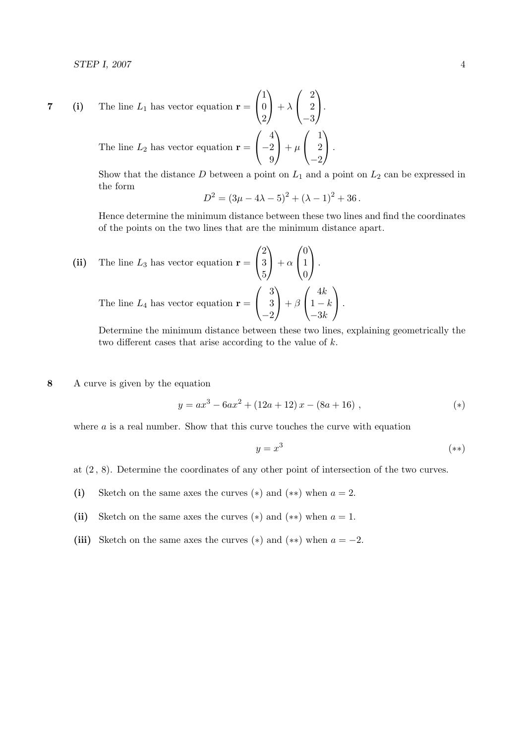7 (i) The line 
$$
L_1
$$
 has vector equation  $\mathbf{r} = \begin{pmatrix} 1 \\ 0 \\ 2 \end{pmatrix} + \lambda \begin{pmatrix} 2 \\ 2 \\ -3 \end{pmatrix}$ .  
The line  $L_2$  has vector equation  $\mathbf{r} = \begin{pmatrix} 4 \\ -2 \\ 9 \end{pmatrix} + \mu \begin{pmatrix} 1 \\ 2 \\ -2 \end{pmatrix}$ .

Show that the distance  $D$  between a point on  $L_1$  and a point on  $L_2$  can be expressed in the form

$$
D^{2} = (3\mu - 4\lambda - 5)^{2} + (\lambda - 1)^{2} + 36.
$$

Hence determine the minimum distance between these two lines and find the coordinates of the points on the two lines that are the minimum distance apart.

(ii) The line 
$$
L_3
$$
 has vector equation  $\mathbf{r} = \begin{pmatrix} 2 \\ 3 \\ 5 \end{pmatrix} + \alpha \begin{pmatrix} 0 \\ 1 \\ 0 \end{pmatrix}$ .  
The line  $L_4$  has vector equation  $\mathbf{r} = \begin{pmatrix} 3 \\ 3 \\ -2 \end{pmatrix} + \beta \begin{pmatrix} 4k \\ 1-k \\ -3k \end{pmatrix}$ .

Determine the minimum distance between these two lines, explaining geometrically the two different cases that arise according to the value of  $k$ .

8 A curve is given by the equation

$$
y = ax3 - 6ax2 + (12a + 12)x - (8a + 16),
$$
 (\*)

where  $a$  is a real number. Show that this curve touches the curve with equation

$$
y = x^3 \tag{**}
$$

at (2 , 8). Determine the coordinates of any other point of intersection of the two curves.

- (i) Sketch on the same axes the curves  $(*)$  and  $(**)$  when  $a = 2$ .
- (ii) Sketch on the same axes the curves  $(*)$  and  $(**)$  when  $a = 1$ .
- (iii) Sketch on the same axes the curves  $(*)$  and  $(**)$  when  $a = -2$ .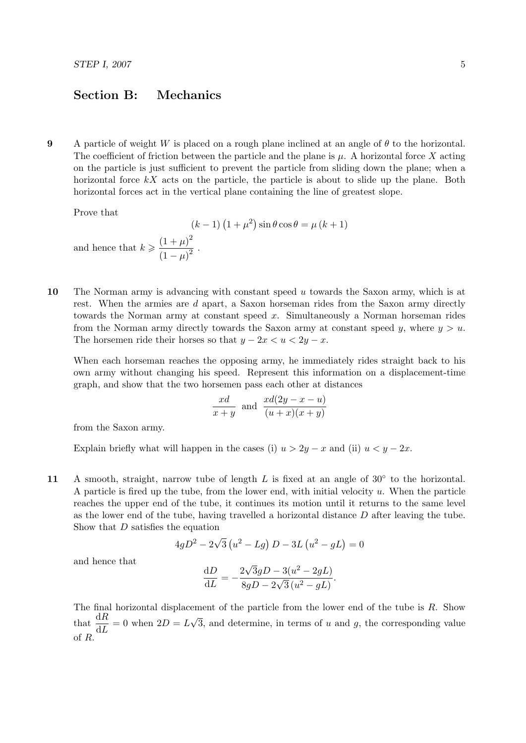## Section B: Mechanics

9 A particle of weight W is placed on a rough plane inclined at an angle of  $\theta$  to the horizontal. The coefficient of friction between the particle and the plane is  $\mu$ . A horizontal force X acting on the particle is just sufficient to prevent the particle from sliding down the plane; when a horizontal force  $kX$  acts on the particle, the particle is about to slide up the plane. Both horizontal forces act in the vertical plane containing the line of greatest slope.

Prove that

 $(k-1)(1+\mu^2)\sin\theta\cos\theta = \mu(k+1)$ and hence that  $k \geqslant \frac{(1+\mu)^2}{(1+\mu)^2}$  $\frac{(1+\mu)^2}{(1-\mu)^2}$ .

10 The Norman army is advancing with constant speed u towards the Saxon army, which is at rest. When the armies are d apart, a Saxon horseman rides from the Saxon army directly towards the Norman army at constant speed x. Simultaneously a Norman horseman rides from the Norman army directly towards the Saxon army at constant speed y, where  $y > u$ . The horsemen ride their horses so that  $y - 2x < u < 2y - x$ .

When each horseman reaches the opposing army, he immediately rides straight back to his own army without changing his speed. Represent this information on a displacement-time graph, and show that the two horsemen pass each other at distances

$$
\frac{xd}{x+y}
$$
 and 
$$
\frac{xd(2y-x-u)}{(u+x)(x+y)}
$$

from the Saxon army.

Explain briefly what will happen in the cases (i)  $u > 2y - x$  and (ii)  $u < y - 2x$ .

11 A smooth, straight, narrow tube of length  $L$  is fixed at an angle of 30 $\degree$  to the horizontal. A particle is fired up the tube, from the lower end, with initial velocity  $u$ . When the particle reaches the upper end of the tube, it continues its motion until it returns to the same level as the lower end of the tube, having travelled a horizontal distance D after leaving the tube. Show that  $D$  satisfies the equation

$$
4gD^{2} - 2\sqrt{3}(u^{2} - Lg) D - 3L(u^{2} - gL) = 0
$$

and hence that

$$
\frac{\mathrm{d}D}{\mathrm{d}L} = -\frac{2\sqrt{3}gD - 3(u^2 - 2gL)}{8gD - 2\sqrt{3}(u^2 - gL)}.
$$

The final horizontal displacement of the particle from the lower end of the tube is R. Show that  $\frac{dR}{dL} = 0$  when  $2D = L$ √ 3, and determine, in terms of  $u$  and  $g$ , the corresponding value of R.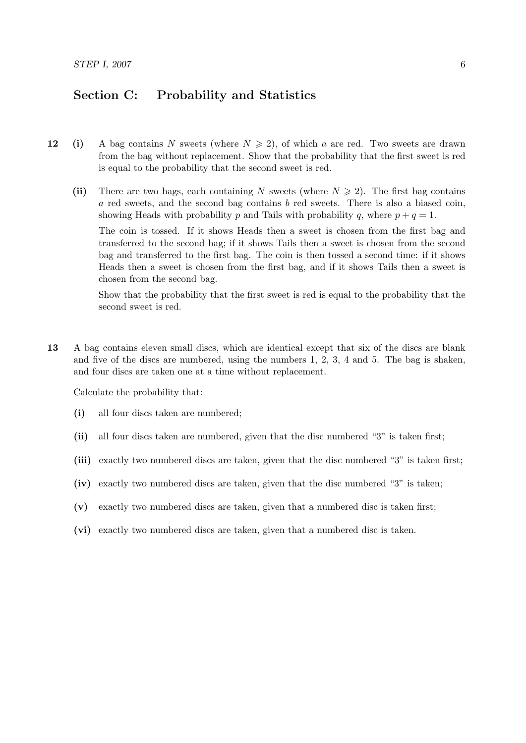## Section C: Probability and Statistics

- 12 (i) A bag contains N sweets (where  $N \ge 2$ ), of which a are red. Two sweets are drawn from the bag without replacement. Show that the probability that the first sweet is red is equal to the probability that the second sweet is red.
	- (ii) There are two bags, each containing N sweets (where  $N \geq 2$ ). The first bag contains  $a$  red sweets, and the second bag contains  $b$  red sweets. There is also a biased coin, showing Heads with probability p and Tails with probability q, where  $p + q = 1$ .

The coin is tossed. If it shows Heads then a sweet is chosen from the first bag and transferred to the second bag; if it shows Tails then a sweet is chosen from the second bag and transferred to the first bag. The coin is then tossed a second time: if it shows Heads then a sweet is chosen from the first bag, and if it shows Tails then a sweet is chosen from the second bag.

Show that the probability that the first sweet is red is equal to the probability that the second sweet is red.

13 A bag contains eleven small discs, which are identical except that six of the discs are blank and five of the discs are numbered, using the numbers 1, 2, 3, 4 and 5. The bag is shaken, and four discs are taken one at a time without replacement.

Calculate the probability that:

- (i) all four discs taken are numbered;
- (ii) all four discs taken are numbered, given that the disc numbered "3" is taken first;
- (iii) exactly two numbered discs are taken, given that the disc numbered "3" is taken first;
- (iv) exactly two numbered discs are taken, given that the disc numbered "3" is taken;
- (v) exactly two numbered discs are taken, given that a numbered disc is taken first;
- (vi) exactly two numbered discs are taken, given that a numbered disc is taken.